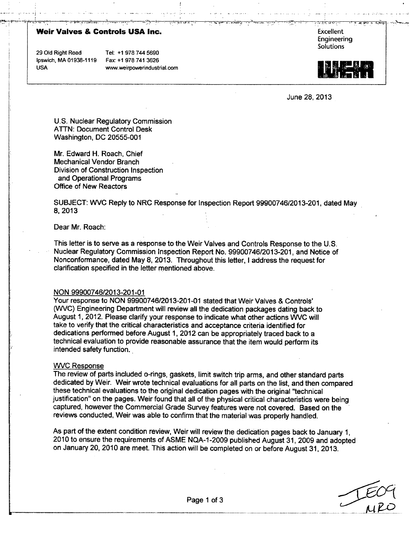# **Weir Valves & Controls USA Inc.** Fig. 2. The settlement of the settlement of the settlement of the settlement of the settlement of the settlement of the settlement of the settlement of the settlement of the settlement of

Ipswich, MA **01938-1119** Fax: **+1978** 741 **3626**

29 **Old** Right Road Tel: **+1978** 744 **5690** USA **www.weirpowerindustrial.com**  Engineering **Solutions** 



June 28, **2013**

**U.S.** Nuclear Regulatory Commission **ATTN:** Document Control Desk Washington, **DC 20555-001**

Mr. Edward H. Roach, Chief Mechanical Vendor Branch Division of Construction Inspection and Operational Programs Office of New Reactors

**SUBJECT:** WVC Reply to NRC Response for Inspection Report **99900746/2013-201,** dated May **8,2013**

Dear Mr. Roach:

This letter is to serve as a response to the Weir Valves and Controls Response to the **U.S.** Nuclear Regulatory Commission Inspection Report No. **99900746/2013-201,** and Notice of Nonconformance, dated May **8, 2013.** Throughout this letter, **I** address the request for clarification specified in the letter mentioned above.

#### **NON 99900746/2013-201-01**

Your response to **NON 99900746/2013-201 -01** stated that Weir Valves **&** Controls' (WVC) Engineering Department will review all the dedication packages dating back to August 1, 2012. Please clarify your response to indicate what other actions WVC will take to verify that the critical characteristics and acceptance criteria identified for dedications performed before August **1,** 2012 can be appropriately traced back to a technical evaluation to provide reasonable assurance that the item would perform its intended safety function..

#### WVC Response

The review of parts included o-rings, gaskets, limit switch trip arms, and other standard parts dedicated **by** Weir. Weir wrote technical evaluations for all parts on the list, and then compared these technical evaluations to the original dedication pages with the original "technical justification" on the pages. Weir found that all of the physical critical characteristics were being captured, however the Commercial Grade Survey features were not covered. Based on the reviews conducted, Weir was able to confirm that the material was properly handled.

As part of the extent condition review, Weir will review the dedication pages back to January **1,** 2010 to ensure the requirements of **ASME NQA-1 -2009** published August **31, 2009** and adopted on January 20, 2010 are meet. This action will be completed on or before August **31, 2013.**

<u>153 MIRO</u>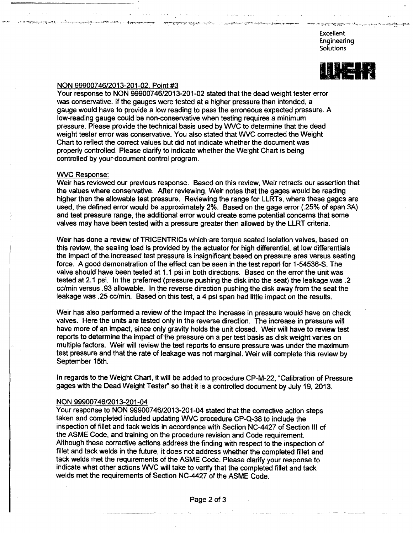Excellent Engineering Solutions

جج مشيج معربي ومعروجا معاد

استحويته ويتسم أوميسومحصد



# NON 99900746/2013-201-02, Point #3

Your response to NON 99900746/2013-201-02 stated that the dead weight tester error was conservative. If the gauges were tested at a higher pressure than intended, a gauge would have to provide a low reading to pass the erroneous expected pressure. A low-reading gauge could be non-conservative when testing requires a minimum pressure, Please provide the technical basis used by WVC to determine that the dead weight tester error was conservative. You also stated that WVC corrected the Weight Chart to reflect the correct values but did not indicate whether the document was properly controlled. Please clarify to indicate whether the Weight Chart is being controlled by your document control program.

# WVC Response:

ەستەت سىزلىق مەزىلەر . . . . ئايرىن بىد ئور<sub>ام</sub>ۇنلىقلىرىدا ئەيلىقلىقىداندا ئالىلىنىدا مېنىدىغان ئىلىقلىقىلىقىلىقى ئەزىرىلەر.

Weir has reviewed our previous response. Based on this review, Weir retracts our assertion that the values where conservative. After reviewing, Weir notes that the gages would be reading higher then the allowable test pressure. Reviewing the range for LLRTs, where these gages are used, the defined error would be approximately 2%. Based on the gage error (.25% of span 3A) and test pressure range, the additional error would create some potential concerns that some valves may have been tested with a pressure greater then allowed by the LLRT criteria.

Weir has done a review of TRICENTRICs which are torque seated Isolation valves, based on this review, the sealing load is provided by the actuator for high differential, at low differentials the impact of the increased test pressure is insignificant based on pressure area versus seating force. A good demonstration of the effect can be seen in the test report for 1-54536-S. The valve should have been tested at 1.1 psi in both directions. Based on the error the unit was tested at 2.1 psi. In the preferred (pressure pushing the disk into the seat) the leakage was .2 cc/min versus .93 allowable. In the reverse direction pushing the disk away from the seat the leakage was .25 cc/min. Based on this test, a 4 psi span had little impact on the results.

Weir has also performed a review of the impact the increase in pressure would have on check valves. Here the units are tested only in the reverse direction. The increase in pressure will have more of an impact, since only gravity holds the unit closed. Weir will have to review test reports to determine the impact of the pressure on a per test basis as disk weight varies on multiple factors. Weir will review the test reports to ensure pressure was under the maximum test pressure and that the rate of leakage was not marginal. Weir will complete this review by September 15th.

In regards to the Weight Chart, it will be added to procedure CP-M-22, "Calibration of Pressure gages with the Dead Weight Tester" so that it is a controlled document by July 19, 2013.

### NON 99900746/2013-201-04

Your response to NON 99900746/2013-201-04 stated that the corrective action steps taken and completed included updating WVC procedure CP-Q-38 to include the inspection of fillet and tack welds in accordance with Section NC-4427 of Section III of the ASME Code, and training on the procedure revision and Code requirement. Although these corrective actions address the finding with respect to the inspection of fillet and tack welds in the future, it does not address whether the completed fillet and tack welds met the requirements of the ASME Code. Please clarify your response to indicate what other actions WVC will take to verify that the completed fillet and tack welds met the requirements of Section NC-4427 of the ASME Code.